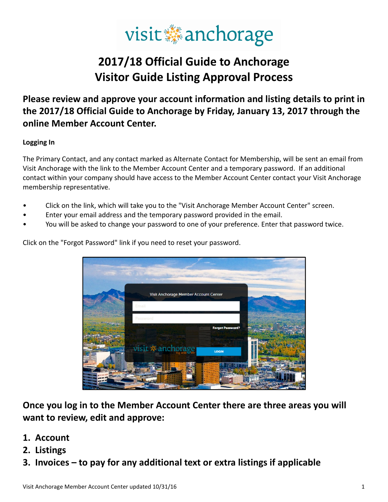# visit anchorage

## 2017/18 Official Guide to Anchorage Visitor Guide Listing Approval Process

### Please review and approve your account information and listing details to print in the 2017/18 Official Guide to Anchorage by Friday, January 13, 2017 through the online Member Account Center.

#### Logging In

The Primary Contact, and any contact marked as Alternate Contact for Membership, will be sent an email from Visit Anchorage with the link to the Member Account Center and a temporary password. If an additional contact within your company should have access to the Member Account Center contact your Visit Anchorage membership representative.

- Click on the link, which will take you to the "Visit Anchorage Member Account Center" screen.
- Enter your email address and the temporary password provided in the email.
- You will be asked to change your password to one of your preference. Enter that password twice.



Click on the "Forgot Password" link if you need to reset your password.

Once you log in to the Member Account Center there are three areas you will want to review, edit and approve:

- 1. Account
- 2. Listings
- 3. Invoices to pay for any additional text or extra listings if applicable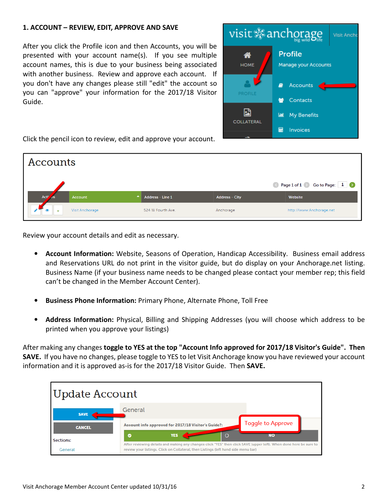#### 1. ACCOUNT – REVIEW, EDIT, APPROVE AND SAVE

After you click the Profile icon and then Accounts, you will be presented with your account name(s). If you see multiple account names, this is due to your business being associated with another business. Review and approve each account. If you don't have any changes please still "edit" the account so you can "approve" your information for the 2017/18 Visitor Guide.



Click the pencil icon to review, edit and approve your account.

| Accounts                              |                                      |                         |                       |                          |  |  |  |  |  |
|---------------------------------------|--------------------------------------|-------------------------|-----------------------|--------------------------|--|--|--|--|--|
| Rage 1 of 1 St Go to Page: 1          |                                      |                         |                       |                          |  |  |  |  |  |
| Act <sup>y</sup><br>$A$ <sub>15</sub> | $\blacktriangle$ .<br><b>Account</b> | <b>Address - Line 1</b> | <b>Address - City</b> | Website                  |  |  |  |  |  |
| $\bullet$<br>$\tilde{\phantom{a}}$    | <b>Visit Anchorage</b>               | 524 W Fourth Ave.       | Anchorage             | http://www.Anchorage.net |  |  |  |  |  |

Review your account details and edit as necessary.

- Account Information: Website, Seasons of Operation, Handicap Accessibility. Business email address and Reservations URL do not print in the visitor guide, but do display on your Anchorage.net listing. Business Name (if your business name needs to be changed please contact your member rep; this field can't be changed in the Member Account Center).
- Business Phone Information: Primary Phone, Alternate Phone, Toll Free
- Address Information: Physical, Billing and Shipping Addresses (you will choose which address to be printed when you approve your listings)

After making any changes toggle to YES at the top "Account Info approved for 2017/18 Visitor's Guide". Then SAVE. If you have no changes, please toggle to YES to let Visit Anchorage know you have reviewed your account information and it is approved as-is for the 2017/18 Visitor Guide. Then SAVE.

| Update Account       |                                                                                                                                                                                                          |                         |  |  |  |  |  |  |
|----------------------|----------------------------------------------------------------------------------------------------------------------------------------------------------------------------------------------------------|-------------------------|--|--|--|--|--|--|
| <b>SAVE</b>          | General                                                                                                                                                                                                  |                         |  |  |  |  |  |  |
| <b>CANCEL</b>        | Account info approved for 2017/18 Visitor's Guide?:<br>$\Omega$<br><b>YES</b><br>Ø                                                                                                                       | Toggle to Approve<br>NO |  |  |  |  |  |  |
| Sections:<br>General | After reviewing details and making any changes click "YES" then click SAVE (upper left). When done here be sure to<br>review your listings. Click on Collateral; then Listings (left hand side menu bar) |                         |  |  |  |  |  |  |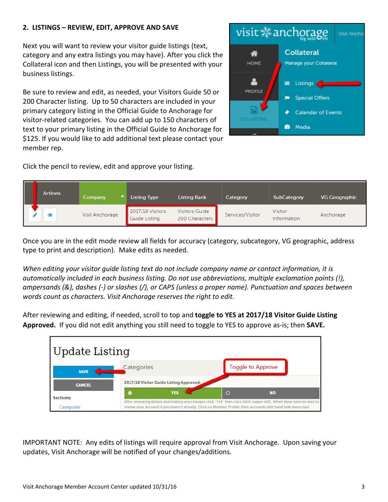#### 2. LISTINGS – REVIEW, EDIT, APPROVE AND SAVE

Next you will want to review your visitor guide listings (text, category and any extra listings you may have). After you click the Collateral icon and then Listings, you will be presented with your business listings.

Be sure to review and edit, as needed, your Visitors Guide 50 or 200 Character listing. Up to 50 characters are included in your primary category listing in the Official Guide to Anchorage for visitor-related categories. You can add up to 150 characters of text to your primary listing in the Official Guide to Anchorage for \$125. If you would like to add additional text please contact your member rep.

**Listing Type** 

Guide Listing

Categories

 $\bullet$ 

2017/18 Visitor Guide Listing Approved:

**YES** 

2017/18 Visitors

Click the pencil to review, edit and approve your listing.

Company

**Update Listing** 

**SAVE** 

**CANCEL** 

Sections:

Categories

Visit Anchorage

**Actions** 

Once you are in the edit mode review all fields for accuracy (category, subcategory, VG geographic, address type to print and description). Make edits as needed.

**Listing Rank** 

**Visitors Guide** 

200 Characters

Category

Services/Visitor

**Toggle to Approve** 

**NO** 

 $\circ$ 

After reviewing details and making any changes click "YES" then click SAVE (upper left). When done here be sure to review your account if you haven't already. Click on Member Profile; then Accounts (left hand side menu bar)

When editing your visitor guide listing text do not include company name or contact information, it is automatically included in each business listing. Do not use abbreviations, multiple exclamation points (!), ampersands (&), dashes (-) or slashes (/), or CAPS (unless a proper name). Punctuation and spaces between words count as characters. Visit Anchorage reserves the right to edit.

After reviewing and editing, if needed, scroll to top and toggle to YES at 2017/18 Visitor Guide Listing Approved. If you did not edit anything you still need to toggle to YES to approve as-is; then SAVE.





**SubCategory** 

Information

Visitor

**VG Geographic** 

Anchorage